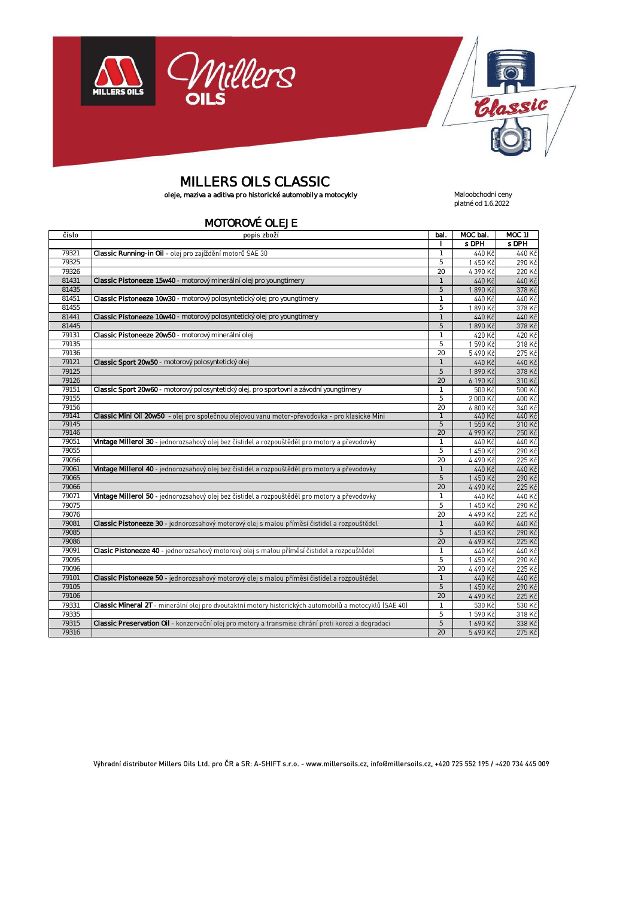



platné od 1.6.2022

# MILLERS OILS CLASSIC

oleje, maziva a aditiva pro historické automobily a motocykly **Maloobchodní ceny** Maloobchodní ceny

#### MOTOROVÉ OLEJE

číslo popis zboží bal. MOC bal. MOC 11 l s DPH s DPH 79321 Classic Running-in Oil - olej pro zajíždění motorů SAE 30 Veresia v Antiocente Classic Running-in Oil 1 440 K 440 Ki 1450 Kč 290 Ki  $79325$  5 4 390 Kà 220 Ki 79326 20 and 20 and 20 and 20 and 20 and 20 and 20 and 20 and 20 and 20 and 20 and 20 and 20 and 20 and 20 and 81431 Classic Pistoneeze 15w40 - motorový minerální olej pro youngtimery 15th and 15th and 15th and 15th and 15th and 15th and 16th and 16th and 16th and 16th and 16th and 16th and 16th and 16th and 16th and 16th and 16th 440 Ki 440 Kč 1890 Kč 378 Ki 81435 5 81451 **Classic Pistoneeze 10w30** - motorový polosyntetický olej pro youngtimery 1<br>81455 5 440 Kč 440 Kč 1890 Kč 378 Kč  $81455$  5 440 Kč 440 Kč 81441 Classic Pistoneeze 10w40 - motorový polosyntetický olej pro youngtimery and the state of the 1 1890 Kč 378 Kč 81445 5 79131 Classic Pistoneeze 20w50 - motorový minerální olej 1992 a vyhlastické province († 1982)<br>1913 1922 - San San Startin, amerikanský filozof († 1922)<br>1923 - San Startin, amerikanský filozof († 1922) 420 Kč 420 Kč 1590 Kč 318 Kč 79135 5 5490 Kò 275 Kč 79136 20 and 20 and 20 and 20 and 20 and 20 and 20 and 20 and 20 and 20 and 20 and 20 and 20 and 20 and 20 and 79121 **Classic Sport 20w50** - motorový polosyntetický olej 440 Kč 440 Kò 378 Ki 1890 Kč 79125 5 6 190 Kč 310 Ki 79126 20 79151 Classic Sport 20w60 - motorový polosyntetický olej, pro sportovní a závodní youngtimery charactery 1 500 Ki  $500K$ 2 000 Kč 400 Ki 79155 5 79156 20 79141 Classic Mini Oil 20w50 1 6.800 Kč 340 Ki 440 Kò 440 Kč  $1550K$  $310 K<sub>c</sub>$ 79145 5 4 990 Kò 250 Ki 79146 20 79051 Vintage Millerol 30 - jednorozsahový olej bez čistidel a rozpouštěděl pro motory a převodovky<br>79055 – 5 440 Ki 440 Ki 1450 K 290 Ki  $79055$  5 4 490 Kò 225 Ki 79056 20 and 20 and 20 and 20 and 20 and 20 and 20 and 20 and 20 and 20 and 20 and 20 and 20 and 20 and 20 and 79061 Vintage Millerol 40 - jednorozsahový olej bez čistidel a rozpouštěděl pro motory a převodovky 1 440 Kč 440 Ki 1 450 Kč 290 Kč 79065 5 4490 Kč 225 Kč 79066 20 79071 Vintage Millerol 50 - jednorozsahový olej bez čistidel a rozpouštěděl pro motory a převodovky 440 Kč 440 Ki 1450 Kč 290 Kč  $79075$  5 4490 Kč 225 Ki 79076 20 and 20 and 20 and 20 and 20 and 20 and 20 and 20 and 20 and 20 and 20 and 20 and 20 and 20 and 20 and 79081 Classic Pistoneeze 30 - jednorozsahový motorový olej s malou příměsí čistidel a rozpouštědel a metal a t 440 Kč 440 Kč 1450 Kč 290 Kč 79085 5 79086 20 4490 Kč 225 Ki 79091 Clasic Pistoneeze 40 - jednorozsahový motorový olej s malou příměsí čistidel a rozpouštědel (1999) 440 Kč 440 Ki 1 450 Kč 290 Ki  $79095$  5 4490 Kč 225 Ki 79096 20 79101 Classic Pistoneeze 50 - jednorozsahový motorový olej s malou příměsí čistidel a rozpouštědel 1 440 Kč 440 Kč 1450 Kč 290 Ki 79105 5 79106 20 4 490 Kč  $225K$ 79331 Classic Mineral 2T 1 530 Kč 530 Ki 1590 Kč 318 Ki  $79335$  5 79315 Classic Preservation OII - konzervační olej pro motory a transmise chrání proti korozi a degradaci **Classic Preservation OII** - 5 1690 Kč 338 Kč 5490 Kč 275 Kč 79316 20

Výhradní distributor Millers Oils Ltd. pro ČR a SR: A-SHIFT s.r.o. - www.millersoils.cz, info@millersoils.cz, +420 725 552 195 / +420 734 445 009